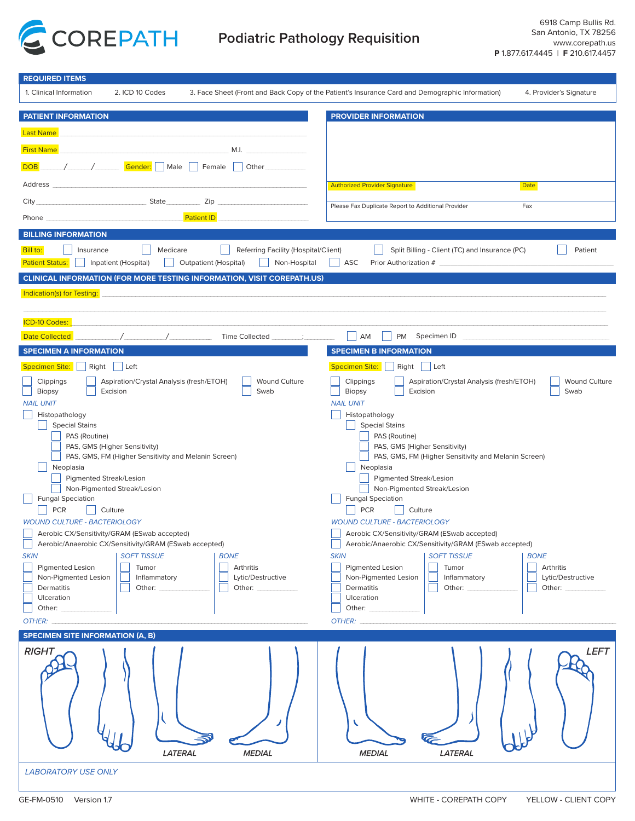

| <b>REQUIRED ITEMS</b>                                                                                                                                                                                                                                                                                                                                                                                                                                                                                                                                                                                                                                                                                                                                                                                                                                                                                                                                                                                                                                                                                                                                                                                                                                       |                                                                                                                                                                                                                                                                                                                                                                                                                                                                                                                                                                                                                                                                                                                                                                                                                                                                                                                                                                                                                                                                                                                                                                                                                                                                  |
|-------------------------------------------------------------------------------------------------------------------------------------------------------------------------------------------------------------------------------------------------------------------------------------------------------------------------------------------------------------------------------------------------------------------------------------------------------------------------------------------------------------------------------------------------------------------------------------------------------------------------------------------------------------------------------------------------------------------------------------------------------------------------------------------------------------------------------------------------------------------------------------------------------------------------------------------------------------------------------------------------------------------------------------------------------------------------------------------------------------------------------------------------------------------------------------------------------------------------------------------------------------|------------------------------------------------------------------------------------------------------------------------------------------------------------------------------------------------------------------------------------------------------------------------------------------------------------------------------------------------------------------------------------------------------------------------------------------------------------------------------------------------------------------------------------------------------------------------------------------------------------------------------------------------------------------------------------------------------------------------------------------------------------------------------------------------------------------------------------------------------------------------------------------------------------------------------------------------------------------------------------------------------------------------------------------------------------------------------------------------------------------------------------------------------------------------------------------------------------------------------------------------------------------|
| 1. Clinical Information<br>2. ICD 10 Codes                                                                                                                                                                                                                                                                                                                                                                                                                                                                                                                                                                                                                                                                                                                                                                                                                                                                                                                                                                                                                                                                                                                                                                                                                  | 3. Face Sheet (Front and Back Copy of the Patient's Insurance Card and Demographic Information)<br>4. Provider's Signature                                                                                                                                                                                                                                                                                                                                                                                                                                                                                                                                                                                                                                                                                                                                                                                                                                                                                                                                                                                                                                                                                                                                       |
| <b>PATIENT INFORMATION</b>                                                                                                                                                                                                                                                                                                                                                                                                                                                                                                                                                                                                                                                                                                                                                                                                                                                                                                                                                                                                                                                                                                                                                                                                                                  | <b>PROVIDER INFORMATION</b>                                                                                                                                                                                                                                                                                                                                                                                                                                                                                                                                                                                                                                                                                                                                                                                                                                                                                                                                                                                                                                                                                                                                                                                                                                      |
| <b>Last Name</b>                                                                                                                                                                                                                                                                                                                                                                                                                                                                                                                                                                                                                                                                                                                                                                                                                                                                                                                                                                                                                                                                                                                                                                                                                                            |                                                                                                                                                                                                                                                                                                                                                                                                                                                                                                                                                                                                                                                                                                                                                                                                                                                                                                                                                                                                                                                                                                                                                                                                                                                                  |
|                                                                                                                                                                                                                                                                                                                                                                                                                                                                                                                                                                                                                                                                                                                                                                                                                                                                                                                                                                                                                                                                                                                                                                                                                                                             |                                                                                                                                                                                                                                                                                                                                                                                                                                                                                                                                                                                                                                                                                                                                                                                                                                                                                                                                                                                                                                                                                                                                                                                                                                                                  |
| <b>First Name</b><br>M.I. The contract of the contract of the contract of the contract of the contract of the contract of the contract of the contract of the contract of the contract of the contract of the contract of the contract of the contr                                                                                                                                                                                                                                                                                                                                                                                                                                                                                                                                                                                                                                                                                                                                                                                                                                                                                                                                                                                                         |                                                                                                                                                                                                                                                                                                                                                                                                                                                                                                                                                                                                                                                                                                                                                                                                                                                                                                                                                                                                                                                                                                                                                                                                                                                                  |
| <i>Male</i> Female<br><b>DOB</b><br>$\vert$ Other                                                                                                                                                                                                                                                                                                                                                                                                                                                                                                                                                                                                                                                                                                                                                                                                                                                                                                                                                                                                                                                                                                                                                                                                           |                                                                                                                                                                                                                                                                                                                                                                                                                                                                                                                                                                                                                                                                                                                                                                                                                                                                                                                                                                                                                                                                                                                                                                                                                                                                  |
| Address                                                                                                                                                                                                                                                                                                                                                                                                                                                                                                                                                                                                                                                                                                                                                                                                                                                                                                                                                                                                                                                                                                                                                                                                                                                     | <b>Authorized Provider Signature</b><br>Date                                                                                                                                                                                                                                                                                                                                                                                                                                                                                                                                                                                                                                                                                                                                                                                                                                                                                                                                                                                                                                                                                                                                                                                                                     |
| State<br>Zip<br>City                                                                                                                                                                                                                                                                                                                                                                                                                                                                                                                                                                                                                                                                                                                                                                                                                                                                                                                                                                                                                                                                                                                                                                                                                                        | Please Fax Duplicate Report to Additional Provider<br>Fax                                                                                                                                                                                                                                                                                                                                                                                                                                                                                                                                                                                                                                                                                                                                                                                                                                                                                                                                                                                                                                                                                                                                                                                                        |
| <b>Patient ID</b><br>Phone                                                                                                                                                                                                                                                                                                                                                                                                                                                                                                                                                                                                                                                                                                                                                                                                                                                                                                                                                                                                                                                                                                                                                                                                                                  |                                                                                                                                                                                                                                                                                                                                                                                                                                                                                                                                                                                                                                                                                                                                                                                                                                                                                                                                                                                                                                                                                                                                                                                                                                                                  |
| <b>BILLING INFORMATION</b>                                                                                                                                                                                                                                                                                                                                                                                                                                                                                                                                                                                                                                                                                                                                                                                                                                                                                                                                                                                                                                                                                                                                                                                                                                  |                                                                                                                                                                                                                                                                                                                                                                                                                                                                                                                                                                                                                                                                                                                                                                                                                                                                                                                                                                                                                                                                                                                                                                                                                                                                  |
| Bill to:<br>Medicare<br>Referring Facility (Hospital/Client)<br>Insurance                                                                                                                                                                                                                                                                                                                                                                                                                                                                                                                                                                                                                                                                                                                                                                                                                                                                                                                                                                                                                                                                                                                                                                                   | Split Billing - Client (TC) and Insurance (PC)<br>Patient                                                                                                                                                                                                                                                                                                                                                                                                                                                                                                                                                                                                                                                                                                                                                                                                                                                                                                                                                                                                                                                                                                                                                                                                        |
| <b>Patient Status:</b><br>Inpatient (Hospital)<br><b>Outpatient (Hospital)</b><br>Non-Hospital                                                                                                                                                                                                                                                                                                                                                                                                                                                                                                                                                                                                                                                                                                                                                                                                                                                                                                                                                                                                                                                                                                                                                              | ASC<br>Prior Authorization #                                                                                                                                                                                                                                                                                                                                                                                                                                                                                                                                                                                                                                                                                                                                                                                                                                                                                                                                                                                                                                                                                                                                                                                                                                     |
| CLINICAL INFORMATION (FOR MORE TESTING INFORMATION, VISIT COREPATH.US)                                                                                                                                                                                                                                                                                                                                                                                                                                                                                                                                                                                                                                                                                                                                                                                                                                                                                                                                                                                                                                                                                                                                                                                      |                                                                                                                                                                                                                                                                                                                                                                                                                                                                                                                                                                                                                                                                                                                                                                                                                                                                                                                                                                                                                                                                                                                                                                                                                                                                  |
| Indication(s) for Testing:                                                                                                                                                                                                                                                                                                                                                                                                                                                                                                                                                                                                                                                                                                                                                                                                                                                                                                                                                                                                                                                                                                                                                                                                                                  |                                                                                                                                                                                                                                                                                                                                                                                                                                                                                                                                                                                                                                                                                                                                                                                                                                                                                                                                                                                                                                                                                                                                                                                                                                                                  |
|                                                                                                                                                                                                                                                                                                                                                                                                                                                                                                                                                                                                                                                                                                                                                                                                                                                                                                                                                                                                                                                                                                                                                                                                                                                             |                                                                                                                                                                                                                                                                                                                                                                                                                                                                                                                                                                                                                                                                                                                                                                                                                                                                                                                                                                                                                                                                                                                                                                                                                                                                  |
| <b>ICD-10 Codes:</b>                                                                                                                                                                                                                                                                                                                                                                                                                                                                                                                                                                                                                                                                                                                                                                                                                                                                                                                                                                                                                                                                                                                                                                                                                                        |                                                                                                                                                                                                                                                                                                                                                                                                                                                                                                                                                                                                                                                                                                                                                                                                                                                                                                                                                                                                                                                                                                                                                                                                                                                                  |
| <b>Date Collected</b><br><b>Time Collected</b>                                                                                                                                                                                                                                                                                                                                                                                                                                                                                                                                                                                                                                                                                                                                                                                                                                                                                                                                                                                                                                                                                                                                                                                                              | AM<br><b>PM</b><br>Specimen ID                                                                                                                                                                                                                                                                                                                                                                                                                                                                                                                                                                                                                                                                                                                                                                                                                                                                                                                                                                                                                                                                                                                                                                                                                                   |
| <b>SPECIMEN A INFORMATION</b>                                                                                                                                                                                                                                                                                                                                                                                                                                                                                                                                                                                                                                                                                                                                                                                                                                                                                                                                                                                                                                                                                                                                                                                                                               | <b>SPECIMEN B INFORMATION</b>                                                                                                                                                                                                                                                                                                                                                                                                                                                                                                                                                                                                                                                                                                                                                                                                                                                                                                                                                                                                                                                                                                                                                                                                                                    |
| $\Box$ Right<br><b>Specimen Site:</b><br>$ $ Left                                                                                                                                                                                                                                                                                                                                                                                                                                                                                                                                                                                                                                                                                                                                                                                                                                                                                                                                                                                                                                                                                                                                                                                                           | <b>Specimen Site:</b><br>Right Left                                                                                                                                                                                                                                                                                                                                                                                                                                                                                                                                                                                                                                                                                                                                                                                                                                                                                                                                                                                                                                                                                                                                                                                                                              |
| Aspiration/Crystal Analysis (fresh/ETOH)<br><b>Wound Culture</b><br>Clippings<br>Biopsy<br>Excision<br>Swab<br><b>NAIL UNIT</b><br>Histopathology<br><b>Special Stains</b><br>PAS (Routine)<br>PAS, GMS (Higher Sensitivity)<br>PAS, GMS, FM (Higher Sensitivity and Melanin Screen)<br>Neoplasia<br>Pigmented Streak/Lesion<br>Non-Pigmented Streak/Lesion<br><b>Fungal Speciation</b><br><b>PCR</b><br>Culture<br><b>WOUND CULTURE - BACTERIOLOGY</b><br>Aerobic CX/Sensitivity/GRAM (ESwab accepted)<br>Aerobic/Anaerobic CX/Sensitivity/GRAM (ESwab accepted)<br><b>SOFT TISSUE</b><br><b>SKIN</b><br><b>BONE</b><br><b>Pigmented Lesion</b><br>Tumor<br>Arthritis<br>Lytic/Destructive<br>Non-Pigmented Lesion<br>Inflammatory<br>Dermatitis<br>Other: _____________<br>Other: Department of the Contract of the Contract of the Contract of the Contract of the Contract of the Contract of the Contract of the Contract of the Contract of the Contract of the Contract of the Contract of the Contr<br>Ulceration<br>Other: and the control of the control of the control of the control of the control of the control of the control of the control of the control of the control of the control of the control of the control of the control of t | Aspiration/Crystal Analysis (fresh/ETOH)<br><b>Wound Culture</b><br>Clippings<br>Biopsy<br>Excision<br>Swab<br><b>NAIL UNIT</b><br>Histopathology<br><b>Special Stains</b><br>PAS (Routine)<br>PAS, GMS (Higher Sensitivity)<br>PAS, GMS, FM (Higher Sensitivity and Melanin Screen)<br>Neoplasia<br><b>Pigmented Streak/Lesion</b><br>Non-Pigmented Streak/Lesion<br><b>Fungal Speciation</b><br><b>PCR</b><br>Culture<br><b>WOUND CULTURE - BACTERIOLOGY</b><br>Aerobic CX/Sensitivity/GRAM (ESwab accepted)<br>Aerobic/Anaerobic CX/Sensitivity/GRAM (ESwab accepted)<br><b>SOFT TISSUE</b><br><b>SKIN</b><br><b>BONE</b><br><b>Pigmented Lesion</b><br>Tumor<br>Arthritis<br>Non-Pigmented Lesion<br>Lytic/Destructive<br>Inflammatory<br>Dermatitis<br>Other: <b>contract of the contract of the contract of the contract of the contract of the contract of the contract of the contract of the contract of the contract of the contract of the contract of the contract of the contra</b><br>Other: <b>contract of the contract of the contract of the contract of the contract of the contract of the contract of the contract of the contract of the contract of the contract of the contract of the contract of the contra</b><br>Ulceration<br>Other: |
| OTHER: COMMUNICATION                                                                                                                                                                                                                                                                                                                                                                                                                                                                                                                                                                                                                                                                                                                                                                                                                                                                                                                                                                                                                                                                                                                                                                                                                                        | OTHER: We are a series of the series of the series of the series of the series of the series of the series of the series of the series of the series of the series of the series of the series of the series of the series of                                                                                                                                                                                                                                                                                                                                                                                                                                                                                                                                                                                                                                                                                                                                                                                                                                                                                                                                                                                                                                    |
| <b>SPECIMEN SITE INFORMATION (A, B)</b>                                                                                                                                                                                                                                                                                                                                                                                                                                                                                                                                                                                                                                                                                                                                                                                                                                                                                                                                                                                                                                                                                                                                                                                                                     |                                                                                                                                                                                                                                                                                                                                                                                                                                                                                                                                                                                                                                                                                                                                                                                                                                                                                                                                                                                                                                                                                                                                                                                                                                                                  |
| <b>RIGHT</b><br><b>LATERAL</b><br><b>MEDIAL</b>                                                                                                                                                                                                                                                                                                                                                                                                                                                                                                                                                                                                                                                                                                                                                                                                                                                                                                                                                                                                                                                                                                                                                                                                             | <b>LEFT</b><br>V<br><b>MEDIAL</b><br><b>LATERAL</b>                                                                                                                                                                                                                                                                                                                                                                                                                                                                                                                                                                                                                                                                                                                                                                                                                                                                                                                                                                                                                                                                                                                                                                                                              |
| <b>LABORATORY USE ONLY</b>                                                                                                                                                                                                                                                                                                                                                                                                                                                                                                                                                                                                                                                                                                                                                                                                                                                                                                                                                                                                                                                                                                                                                                                                                                  |                                                                                                                                                                                                                                                                                                                                                                                                                                                                                                                                                                                                                                                                                                                                                                                                                                                                                                                                                                                                                                                                                                                                                                                                                                                                  |